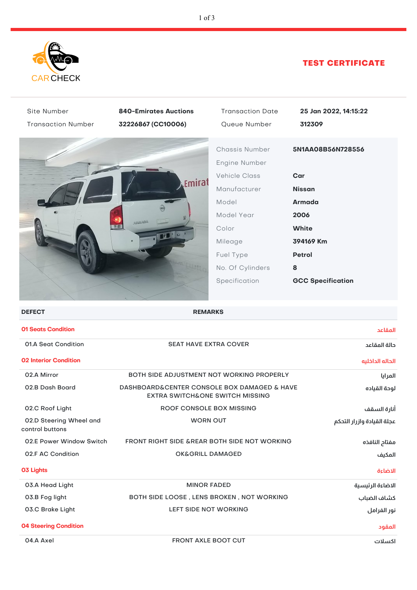

## TEST CERTIFICATE

| Site Number<br><b>Transaction Number</b>   | <b>840-Emirates Auctions</b><br>32226867 (CC10006)                                                        | <b>Transaction Date</b><br>Queue Number                                                                                                                              | 25 Jan 2022, 14:15:22<br>312309                                                                                                                   |  |
|--------------------------------------------|-----------------------------------------------------------------------------------------------------------|----------------------------------------------------------------------------------------------------------------------------------------------------------------------|---------------------------------------------------------------------------------------------------------------------------------------------------|--|
|                                            | Emirat<br><b>ARTICLE AREA</b><br>医原                                                                       | Chassis Number<br>Engine Number<br><b>Vehicle Class</b><br>Manufacturer<br>Model<br>Model Year<br>Color<br>Mileage<br>Fuel Type<br>No. Of Cylinders<br>Specification | 5N1AA08B56N728556<br>Car<br><b>Nissan</b><br><b>Armada</b><br>2006<br><b>White</b><br>394169 Km<br><b>Petrol</b><br>8<br><b>GCC Specification</b> |  |
| <b>DEFECT</b>                              | <b>REMARKS</b>                                                                                            |                                                                                                                                                                      |                                                                                                                                                   |  |
| <b>01 Seats Condition</b>                  |                                                                                                           |                                                                                                                                                                      | المقاعد                                                                                                                                           |  |
| 01.A Seat Condition                        | <b>SEAT HAVE EXTRA COVER</b><br>حالة المقاعد                                                              |                                                                                                                                                                      |                                                                                                                                                   |  |
| <b>02 Interior Condition</b>               |                                                                                                           |                                                                                                                                                                      | الحاله الداخليه                                                                                                                                   |  |
| 02.A Mirror                                | BOTH SIDE ADJUSTMENT NOT WORKING PROPERLY<br>المرايا                                                      |                                                                                                                                                                      |                                                                                                                                                   |  |
| 02.B Dash Board                            | DASHBOARD&CENTER CONSOLE BOX DAMAGED & HAVE<br>لوحة القياده<br><b>EXTRA SWITCH&amp;ONE SWITCH MISSING</b> |                                                                                                                                                                      |                                                                                                                                                   |  |
| 02.C Roof Light                            | ROOF CONSOLE BOX MISSING<br>أنارة السقف                                                                   |                                                                                                                                                                      |                                                                                                                                                   |  |
| 02.D Steering Wheel and<br>control buttons | <b>WORN OUT</b><br>عجلة القيادة وازرار التحكم                                                             |                                                                                                                                                                      |                                                                                                                                                   |  |
| 02.E Power Window Switch                   | FRONT RIGHT SIDE & REAR BOTH SIDE NOT WORKING<br>مفتاح النافذه                                            |                                                                                                                                                                      |                                                                                                                                                   |  |
| 02.F AC Condition                          | <b>OK&amp;GRILL DAMAGED</b>                                                                               |                                                                                                                                                                      | المكيف                                                                                                                                            |  |
| <b>03 Lights</b>                           |                                                                                                           |                                                                                                                                                                      | الاضاءة                                                                                                                                           |  |
| 03.A Head Light                            | <b>MINOR FADED</b>                                                                                        | الاضاءة الرئيسية                                                                                                                                                     |                                                                                                                                                   |  |
| 03.B Fog light                             | BOTH SIDE LOOSE, LENS BROKEN, NOT WORKING<br>كشاف الضباب                                                  |                                                                                                                                                                      |                                                                                                                                                   |  |
| 03.C Brake Light                           | LEFT SIDE NOT WORKING                                                                                     |                                                                                                                                                                      | نور الفرامل                                                                                                                                       |  |
| <b>04 Steering Condition</b>               |                                                                                                           |                                                                                                                                                                      | المقود                                                                                                                                            |  |
| 04.A Axel                                  | <b>FRONT AXLE BOOT CUT</b>                                                                                |                                                                                                                                                                      | اكسلات                                                                                                                                            |  |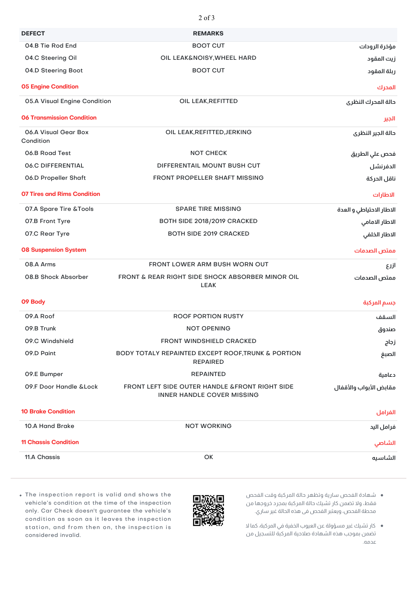| <b>DEFECT</b>                     | <b>REMARKS</b>                                                                       |                          |
|-----------------------------------|--------------------------------------------------------------------------------------|--------------------------|
| 04.B Tie Rod End                  | <b>BOOT CUT</b>                                                                      | مؤخرة الرودات            |
| 04.C Steering Oil                 | OIL LEAK&NOISY, WHEEL HARD                                                           | زيت المقود               |
| 04.D Steering Boot                | <b>BOOT CUT</b>                                                                      | ربلة المقود              |
| <b>05 Engine Condition</b>        |                                                                                      | المحرك                   |
| 05.A Visual Engine Condition      | OIL LEAK, REFITTED                                                                   | دالة المدرك النظرى       |
| <b>06 Transmission Condition</b>  |                                                                                      | الجير                    |
| 06.A Visual Gear Box<br>Condition | OIL LEAK, REFITTED, JERKING                                                          | حالة الجير النظرى        |
| 06.B Road Test                    | <b>NOT CHECK</b>                                                                     | فحص علي الطريق           |
| <b>06.C DIFFERENTIAL</b>          | DIFFERENTAIL MOUNT BUSH CUT                                                          | الدفرنشل                 |
| 06.D Propeller Shaft              | <b>FRONT PROPELLER SHAFT MISSING</b>                                                 | ناقل الحركة              |
| 07 Tires and Rims Condition       |                                                                                      | الاطارات                 |
| 07.A Spare Tire & Tools           | <b>SPARE TIRE MISSING</b>                                                            | الاطار الاحتياطي و العدة |
| 07.B Front Tyre                   | BOTH SIDE 2018/2019 CRACKED                                                          | الاطار الامامي           |
| 07.C Rear Tyre                    | <b>BOTH SIDE 2019 CRACKED</b>                                                        | الاطار الخلفى            |
| <b>08 Suspension System</b>       |                                                                                      | ممتص الصدمات             |
| 08.A Arms                         | FRONT LOWER ARM BUSH WORN OUT                                                        | ازرع                     |
| 08.B Shock Absorber               | FRONT & REAR RIGHT SIDE SHOCK ABSORBER MINOR OIL<br><b>LEAK</b>                      | ممتص الصدمات             |
| 09 Body                           |                                                                                      | جسم المركبة              |
| 09.A Roof                         | <b>ROOF PORTION RUSTY</b>                                                            | السقف                    |
| 09.B Trunk                        | <b>NOT OPENING</b>                                                                   | صندوق                    |
| 09.C Windshield                   | <b>FRONT WINDSHIELD CRACKED</b>                                                      | زجاج                     |
| 09.D Paint                        | BODY TOTALY REPAINTED EXCEPT ROOF, TRUNK & PORTION<br><b>REPAIRED</b>                | الصبغ                    |
| 09.E Bumper                       | <b>REPAINTED</b>                                                                     | دعامية                   |
| 09.F Door Handle & Lock           | FRONT LEFT SIDE OUTER HANDLE & FRONT RIGHT SIDE<br><b>INNER HANDLE COVER MISSING</b> | مقابض الأبواب والأقفال   |
| <b>10 Brake Condition</b>         |                                                                                      | الفرامل                  |
| 10.A Hand Brake                   | <b>NOT WORKING</b>                                                                   | فرامل اليد               |
| <b>11 Chassis Condition</b>       |                                                                                      | الشاصى                   |
| 11.A Chassis                      | OK                                                                                   | الشاسيه                  |

2 of 3

- شهادة الفحص سارية وتظهر حالة المركبة وقت الفحص فقط، ولا تضمن كار تشيك حالة المركبة بمجرد خروجها من محطة الفحص، ويعتبر الفحص فى هذه الحالة غير ساري.
	- كار تشيك غير مسؤولة عن العيوب الخفية في المركبة، كما لا تضمن بموجب هذه الشهادة صلاحية المركبة للتسجيل من عدمه.



The inspection report is valid and shows the vehicle's condition at the time of the inspection only. Car Check doesn't guarantee the vehicle's condition as soon as it leaves the inspection station, and from then on, the inspection is

considered invalid.